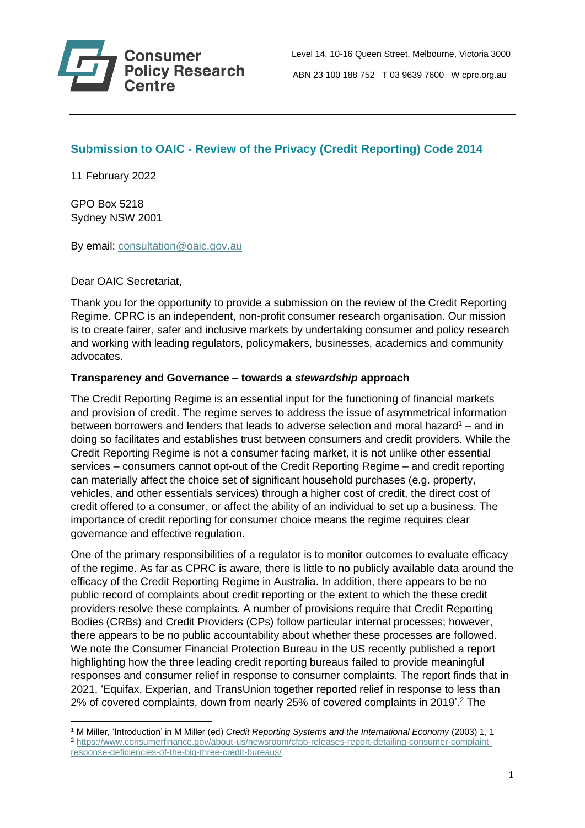

# **Submission to OAIC - Review of the Privacy (Credit Reporting) Code 2014**

11 February 2022

GPO Box 5218 Sydney NSW 2001

By email: [consultation@oaic.gov.au](mailto:consultation@oaic.gov.au)

Dear OAIC Secretariat,

Thank you for the opportunity to provide a submission on the review of the Credit Reporting Regime. CPRC is an independent, non-profit consumer research organisation. Our mission is to create fairer, safer and inclusive markets by undertaking consumer and policy research and working with leading regulators, policymakers, businesses, academics and community advocates.

# **Transparency and Governance – towards a** *stewardship* **approach**

The Credit Reporting Regime is an essential input for the functioning of financial markets and provision of credit. The regime serves to address the issue of asymmetrical information between borrowers and lenders that leads to adverse selection and moral hazard<sup>1</sup> – and in doing so facilitates and establishes trust between consumers and credit providers. While the Credit Reporting Regime is not a consumer facing market, it is not unlike other essential services – consumers cannot opt-out of the Credit Reporting Regime – and credit reporting can materially affect the choice set of significant household purchases (e.g. property, vehicles, and other essentials services) through a higher cost of credit, the direct cost of credit offered to a consumer, or affect the ability of an individual to set up a business. The importance of credit reporting for consumer choice means the regime requires clear governance and effective regulation.

One of the primary responsibilities of a regulator is to monitor outcomes to evaluate efficacy of the regime. As far as CPRC is aware, there is little to no publicly available data around the efficacy of the Credit Reporting Regime in Australia. In addition, there appears to be no public record of complaints about credit reporting or the extent to which the these credit providers resolve these complaints. A number of provisions require that Credit Reporting Bodies (CRBs) and Credit Providers (CPs) follow particular internal processes; however, there appears to be no public accountability about whether these processes are followed. We note the Consumer Financial Protection Bureau in the US recently published a report highlighting how the three leading credit reporting bureaus failed to provide meaningful responses and consumer relief in response to consumer complaints. The report finds that in 2021, 'Equifax, Experian, and TransUnion together reported relief in response to less than 2% of covered complaints, down from nearly 25% of covered complaints in 2019'.<sup>2</sup> The

<sup>1</sup> M Miller, 'Introduction' in M Miller (ed) *Credit Reporting Systems and the International Economy* (2003) 1, 1 <sup>2</sup> [https://www.consumerfinance.gov/about-us/newsroom/cfpb-releases-report-detailing-consumer-complaint](https://www.consumerfinance.gov/about-us/newsroom/cfpb-releases-report-detailing-consumer-complaint-response-deficiencies-of-the-big-three-credit-bureaus/)[response-deficiencies-of-the-big-three-credit-bureaus/](https://www.consumerfinance.gov/about-us/newsroom/cfpb-releases-report-detailing-consumer-complaint-response-deficiencies-of-the-big-three-credit-bureaus/)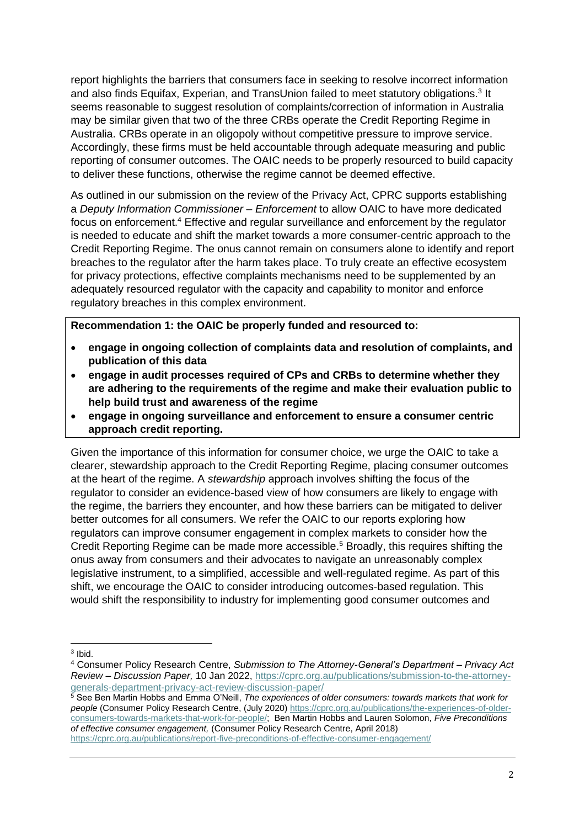report highlights the barriers that consumers face in seeking to resolve incorrect information and also finds Equifax, Experian, and TransUnion failed to meet statutory obligations.<sup>3</sup> It seems reasonable to suggest resolution of complaints/correction of information in Australia may be similar given that two of the three CRBs operate the Credit Reporting Regime in Australia. CRBs operate in an oligopoly without competitive pressure to improve service. Accordingly, these firms must be held accountable through adequate measuring and public reporting of consumer outcomes. The OAIC needs to be properly resourced to build capacity to deliver these functions, otherwise the regime cannot be deemed effective.

As outlined in our submission on the review of the Privacy Act, CPRC supports establishing a *Deputy Information Commissioner – Enforcement* to allow OAIC to have more dedicated focus on enforcement.<sup>4</sup> Effective and regular surveillance and enforcement by the regulator is needed to educate and shift the market towards a more consumer-centric approach to the Credit Reporting Regime. The onus cannot remain on consumers alone to identify and report breaches to the regulator after the harm takes place. To truly create an effective ecosystem for privacy protections, effective complaints mechanisms need to be supplemented by an adequately resourced regulator with the capacity and capability to monitor and enforce regulatory breaches in this complex environment.

**Recommendation 1: the OAIC be properly funded and resourced to:**

- **engage in ongoing collection of complaints data and resolution of complaints, and publication of this data**
- **engage in audit processes required of CPs and CRBs to determine whether they are adhering to the requirements of the regime and make their evaluation public to help build trust and awareness of the regime**
- **engage in ongoing surveillance and enforcement to ensure a consumer centric approach credit reporting.**

Given the importance of this information for consumer choice, we urge the OAIC to take a clearer, stewardship approach to the Credit Reporting Regime, placing consumer outcomes at the heart of the regime. A *stewardship* approach involves shifting the focus of the regulator to consider an evidence-based view of how consumers are likely to engage with the regime, the barriers they encounter, and how these barriers can be mitigated to deliver better outcomes for all consumers. We refer the OAIC to our reports exploring how regulators can improve consumer engagement in complex markets to consider how the Credit Reporting Regime can be made more accessible. <sup>5</sup> Broadly, this requires shifting the onus away from consumers and their advocates to navigate an unreasonably complex legislative instrument, to a simplified, accessible and well-regulated regime. As part of this shift, we encourage the OAIC to consider introducing outcomes-based regulation. This would shift the responsibility to industry for implementing good consumer outcomes and

<sup>3</sup> Ibid.

<sup>4</sup> Consumer Policy Research Centre, *Submission to The Attorney-General's Department – Privacy Act Review – Discussion Paper,* 10 Jan 2022, [https://cprc.org.au/publications/submission-to-the-attorney](https://cprc.org.au/publications/submission-to-the-attorney-generals-department-privacy-act-review-discussion-paper/)[generals-department-privacy-act-review-discussion-paper/](https://cprc.org.au/publications/submission-to-the-attorney-generals-department-privacy-act-review-discussion-paper/)

<sup>5</sup> See Ben Martin Hobbs and Emma O'Neill, *The experiences of older consumers: towards markets that work for people* (Consumer Policy Research Centre, (July 2020) [https://cprc.org.au/publications/the-experiences-of-older](https://cprc.org.au/publications/the-experiences-of-older-consumers-towards-markets-that-work-for-people/)[consumers-towards-markets-that-work-for-people/;](https://cprc.org.au/publications/the-experiences-of-older-consumers-towards-markets-that-work-for-people/) Ben Martin Hobbs and Lauren Solomon, *Five Preconditions of effective consumer engagement,* (Consumer Policy Research Centre, April 2018)

<https://cprc.org.au/publications/report-five-preconditions-of-effective-consumer-engagement/>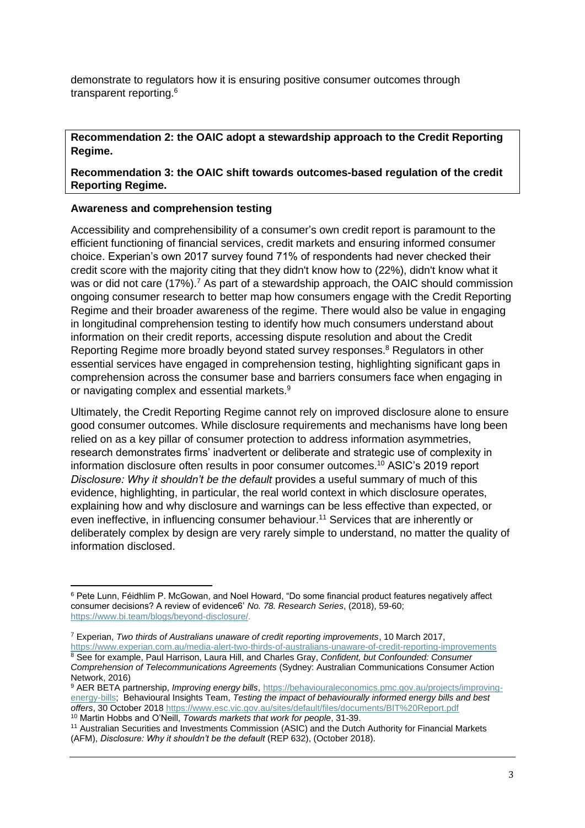demonstrate to regulators how it is ensuring positive consumer outcomes through transparent reporting.<sup>6</sup>

**Recommendation 2: the OAIC adopt a stewardship approach to the Credit Reporting Regime.** 

**Recommendation 3: the OAIC shift towards outcomes-based regulation of the credit Reporting Regime.**

# **Awareness and comprehension testing**

Accessibility and comprehensibility of a consumer's own credit report is paramount to the efficient functioning of financial services, credit markets and ensuring informed consumer choice. Experian's own 2017 survey found 71% of respondents had never checked their credit score with the majority citing that they didn't know how to (22%), didn't know what it was or did not care (17%).<sup>7</sup> As part of a stewardship approach, the OAIC should commission ongoing consumer research to better map how consumers engage with the Credit Reporting Regime and their broader awareness of the regime. There would also be value in engaging in longitudinal comprehension testing to identify how much consumers understand about information on their credit reports, accessing dispute resolution and about the Credit Reporting Regime more broadly beyond stated survey responses. <sup>8</sup> Regulators in other essential services have engaged in comprehension testing, highlighting significant gaps in comprehension across the consumer base and barriers consumers face when engaging in or navigating complex and essential markets.<sup>9</sup>

Ultimately, the Credit Reporting Regime cannot rely on improved disclosure alone to ensure good consumer outcomes. While disclosure requirements and mechanisms have long been relied on as a key pillar of consumer protection to address information asymmetries, research demonstrates firms' inadvertent or deliberate and strategic use of complexity in information disclosure often results in poor consumer outcomes. <sup>10</sup> ASIC's 2019 report *Disclosure: Why it shouldn't be the default* provides a useful summary of much of this evidence, highlighting, in particular, the real world context in which disclosure operates, explaining how and why disclosure and warnings can be less effective than expected, or even ineffective, in influencing consumer behaviour.<sup>11</sup> Services that are inherently or deliberately complex by design are very rarely simple to understand, no matter the quality of information disclosed.

<sup>6</sup> Pete Lunn, Féidhlim P. McGowan, and Noel Howard, "Do some financial product features negatively affect consumer decisions? A review of evidence6' *No. 78. Research Series*, (2018), 59-60; [https://www.bi.team/blogs/beyond-disclosure/.](https://www.bi.team/blogs/beyond-disclosure/)

<sup>7</sup> Experian, *Two thirds of Australians unaware of credit reporting improvements*, 10 March 2017, <https://www.experian.com.au/media-alert-two-thirds-of-australians-unaware-of-credit-reporting-improvements>

<sup>8</sup> See for example, Paul Harrison, Laura Hill, and Charles Gray, *Confident, but Confounded: Consumer Comprehension of Telecommunications Agreements* (Sydney: Australian Communications Consumer Action Network, 2016)

<sup>9</sup> AER BETA partnership, *Improving energy bills*, [https://behaviouraleconomics.pmc.gov.au/projects/improving](https://behaviouraleconomics.pmc.gov.au/projects/improving-energy-bills)[energy-bills;](https://behaviouraleconomics.pmc.gov.au/projects/improving-energy-bills) Behavioural Insights Team, *Testing the impact of behaviourally informed energy bills and best offers*, 30 October 2018 <https://www.esc.vic.gov.au/sites/default/files/documents/BIT%20Report.pdf> <sup>10</sup> Martin Hobbs and O'Neill, *Towards markets that work for people*, 31-39.

<sup>11</sup> Australian Securities and Investments Commission (ASIC) and the Dutch Authority for Financial Markets (AFM), *Disclosure: Why it shouldn't be the default* (REP 632), (October 2018).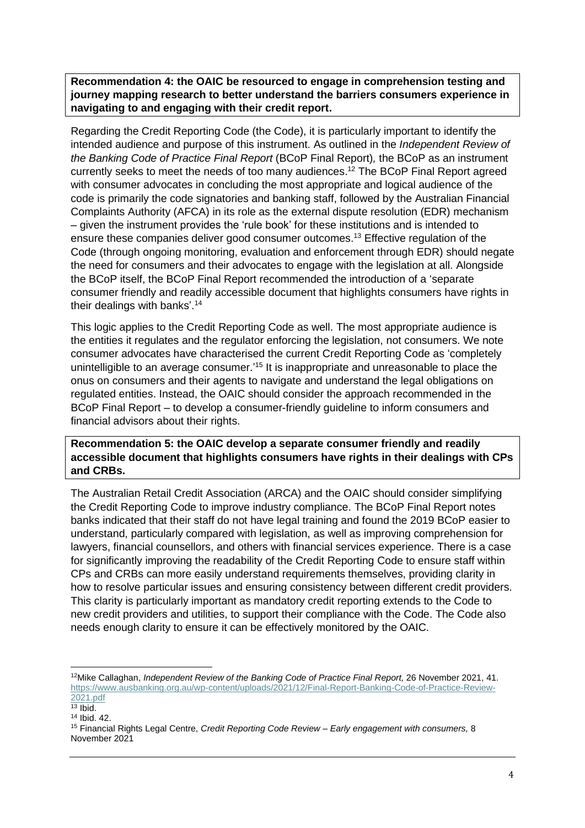**Recommendation 4: the OAIC be resourced to engage in comprehension testing and journey mapping research to better understand the barriers consumers experience in navigating to and engaging with their credit report.**

Regarding the Credit Reporting Code (the Code), it is particularly important to identify the intended audience and purpose of this instrument. As outlined in the *Independent Review of the Banking Code of Practice Final Report* (BCoP Final Report)*,* the BCoP as an instrument currently seeks to meet the needs of too many audiences. <sup>12</sup> The BCoP Final Report agreed with consumer advocates in concluding the most appropriate and logical audience of the code is primarily the code signatories and banking staff, followed by the Australian Financial Complaints Authority (AFCA) in its role as the external dispute resolution (EDR) mechanism – given the instrument provides the 'rule book' for these institutions and is intended to ensure these companies deliver good consumer outcomes.<sup>13</sup> Effective regulation of the Code (through ongoing monitoring, evaluation and enforcement through EDR) should negate the need for consumers and their advocates to engage with the legislation at all. Alongside the BCoP itself, the BCoP Final Report recommended the introduction of a 'separate consumer friendly and readily accessible document that highlights consumers have rights in their dealings with banks'.<sup>14</sup>

This logic applies to the Credit Reporting Code as well. The most appropriate audience is the entities it regulates and the regulator enforcing the legislation, not consumers. We note consumer advocates have characterised the current Credit Reporting Code as 'completely unintelligible to an average consumer.<sup>15</sup> It is inappropriate and unreasonable to place the onus on consumers and their agents to navigate and understand the legal obligations on regulated entities. Instead, the OAIC should consider the approach recommended in the BCoP Final Report – to develop a consumer-friendly guideline to inform consumers and financial advisors about their rights.

**Recommendation 5: the OAIC develop a separate consumer friendly and readily accessible document that highlights consumers have rights in their dealings with CPs and CRBs.**

The Australian Retail Credit Association (ARCA) and the OAIC should consider simplifying the Credit Reporting Code to improve industry compliance. The BCoP Final Report notes banks indicated that their staff do not have legal training and found the 2019 BCoP easier to understand, particularly compared with legislation, as well as improving comprehension for lawyers, financial counsellors, and others with financial services experience. There is a case for significantly improving the readability of the Credit Reporting Code to ensure staff within CPs and CRBs can more easily understand requirements themselves, providing clarity in how to resolve particular issues and ensuring consistency between different credit providers. This clarity is particularly important as mandatory credit reporting extends to the Code to new credit providers and utilities, to support their compliance with the Code. The Code also needs enough clarity to ensure it can be effectively monitored by the OAIC.

<sup>12</sup>Mike Callaghan, *Independent Review of the Banking Code of Practice Final Report,* 26 November 2021, 41. [https://www.ausbanking.org.au/wp-content/uploads/2021/12/Final-Report-Banking-Code-of-Practice-Review-](https://www.ausbanking.org.au/wp-content/uploads/2021/12/Final-Report-Banking-Code-of-Practice-Review-2021.pdf)[2021.pdf](https://www.ausbanking.org.au/wp-content/uploads/2021/12/Final-Report-Banking-Code-of-Practice-Review-2021.pdf)

 $13$  Ibid.

<sup>14</sup> Ibid. 42.

<sup>15</sup> Financial Rights Legal Centre, *Credit Reporting Code Review – Early engagement with consumers,* 8 November 2021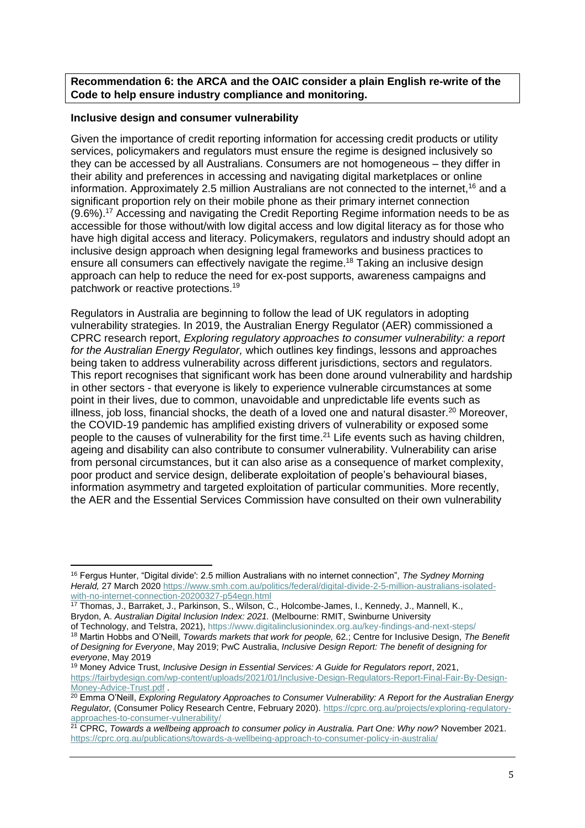**Recommendation 6: the ARCA and the OAIC consider a plain English re-write of the Code to help ensure industry compliance and monitoring.** 

## **Inclusive design and consumer vulnerability**

Given the importance of credit reporting information for accessing credit products or utility services, policymakers and regulators must ensure the regime is designed inclusively so they can be accessed by all Australians. Consumers are not homogeneous – they differ in their ability and preferences in accessing and navigating digital marketplaces or online information. Approximately 2.5 million Australians are not connected to the internet,<sup>16</sup> and a significant proportion rely on their mobile phone as their primary internet connection (9.6%).<sup>17</sup> Accessing and navigating the Credit Reporting Regime information needs to be as accessible for those without/with low digital access and low digital literacy as for those who have high digital access and literacy. Policymakers, regulators and industry should adopt an inclusive design approach when designing legal frameworks and business practices to ensure all consumers can effectively navigate the regime. <sup>18</sup> Taking an inclusive design approach can help to reduce the need for ex-post supports, awareness campaigns and patchwork or reactive protections.<sup>19</sup>

Regulators in Australia are beginning to follow the lead of UK regulators in adopting vulnerability strategies. In 2019, the Australian Energy Regulator (AER) commissioned a CPRC research report, *Exploring regulatory approaches to consumer vulnerability: a report for the Australian Energy Regulator,* which outlines key findings, lessons and approaches being taken to address vulnerability across different jurisdictions, sectors and regulators. This report recognises that significant work has been done around vulnerability and hardship in other sectors - that everyone is likely to experience vulnerable circumstances at some point in their lives, due to common, unavoidable and unpredictable life events such as illness, job loss, financial shocks, the death of a loved one and natural disaster.<sup>20</sup> Moreover, the COVID-19 pandemic has amplified existing drivers of vulnerability or exposed some people to the causes of vulnerability for the first time.<sup>21</sup> Life events such as having children, ageing and disability can also contribute to consumer vulnerability. Vulnerability can arise from personal circumstances, but it can also arise as a consequence of market complexity, poor product and service design, deliberate exploitation of people's behavioural biases, information asymmetry and targeted exploitation of particular communities. More recently, the AER and the Essential Services Commission have consulted on their own vulnerability

<sup>16</sup> Fergus Hunter, "Digital divide': 2.5 million Australians with no internet connection", *The Sydney Morning Herald,* 27 March 2020 [https://www.smh.com.au/politics/federal/digital-divide-2-5-million-australians-isolated](https://www.smh.com.au/politics/federal/digital-divide-2-5-million-australians-isolated-with-no-internet-connection-20200327-p54egn.html)[with-no-internet-connection-20200327-p54egn.html](https://www.smh.com.au/politics/federal/digital-divide-2-5-million-australians-isolated-with-no-internet-connection-20200327-p54egn.html)

<sup>17</sup> Thomas, J., Barraket, J., Parkinson, S., Wilson, C., Holcombe-James, I., Kennedy, J., Mannell, K., Brydon, A. *Australian Digital Inclusion Index: 2021.* (Melbourne: RMIT, Swinburne University

of Technology, and Telstra, 2021), https://www.digitalinclusionindex.org.au/key-findings-and-next-steps/

<sup>18</sup> Martin Hobbs and O'Neill, *Towards markets that work for people,* 62.; Centre for Inclusive Design, *The Benefit of Designing for Everyone*, May 2019; PwC Australia, *Inclusive Design Report: The benefit of designing for everyone*, May 2019

<sup>19</sup> Money Advice Trust, *Inclusive Design in Essential Services: A Guide for Regulators report*, 2021, [https://fairbydesign.com/wp-content/uploads/2021/01/Inclusive-Design-Regulators-Report-Final-Fair-By-Design-](https://fairbydesign.com/wp-content/uploads/2021/01/Inclusive-Design-Regulators-Report-Final-Fair-By-Design-Money-Advice-Trust.pdf)[Money-Advice-Trust.pdf](https://fairbydesign.com/wp-content/uploads/2021/01/Inclusive-Design-Regulators-Report-Final-Fair-By-Design-Money-Advice-Trust.pdf) .

<sup>20</sup> Emma O'Neill, *Exploring Regulatory Approaches to Consumer Vulnerability: A Report for the Australian Energy Regulator,* (Consumer Policy Research Centre, February 2020). [https://cprc.org.au/projects/exploring-regulatory](https://cprc.org.au/projects/exploring-regulatory-approaches-to-consumer-vulnerability/)[approaches-to-consumer-vulnerability/](https://cprc.org.au/projects/exploring-regulatory-approaches-to-consumer-vulnerability/)

<sup>21</sup> CPRC, *Towards a wellbeing approach to consumer policy in Australia. Part One: Why now?* November 2021. <https://cprc.org.au/publications/towards-a-wellbeing-approach-to-consumer-policy-in-australia/>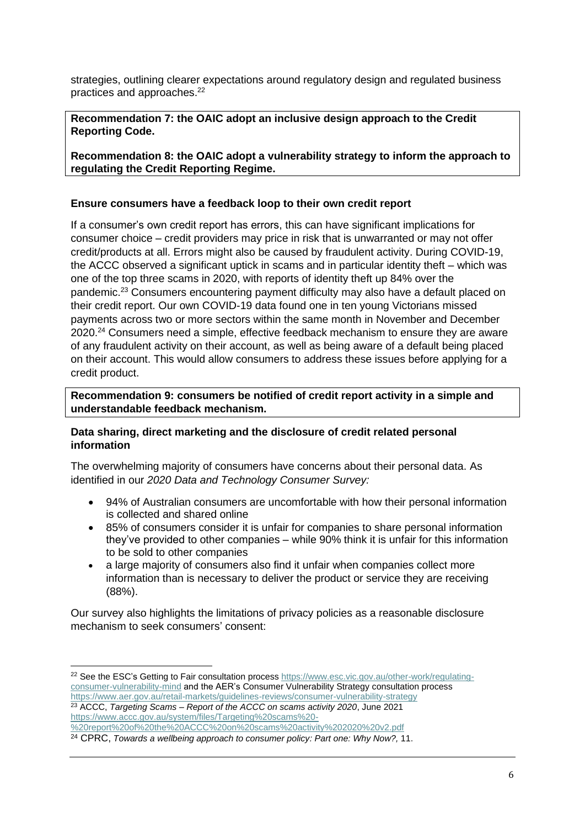strategies, outlining clearer expectations around regulatory design and regulated business practices and approaches. 22

# **Recommendation 7: the OAIC adopt an inclusive design approach to the Credit Reporting Code.**

**Recommendation 8: the OAIC adopt a vulnerability strategy to inform the approach to regulating the Credit Reporting Regime.**

## **Ensure consumers have a feedback loop to their own credit report**

If a consumer's own credit report has errors, this can have significant implications for consumer choice – credit providers may price in risk that is unwarranted or may not offer credit/products at all. Errors might also be caused by fraudulent activity. During COVID-19, the ACCC observed a significant uptick in scams and in particular identity theft – which was one of the top three scams in 2020, with reports of identity theft up 84% over the pandemic.<sup>23</sup> Consumers encountering payment difficulty may also have a default placed on their credit report. Our own COVID-19 data found one in ten young Victorians missed payments across two or more sectors within the same month in November and December 2020.<sup>24</sup> Consumers need a simple, effective feedback mechanism to ensure they are aware of any fraudulent activity on their account, as well as being aware of a default being placed on their account. This would allow consumers to address these issues before applying for a credit product.

**Recommendation 9: consumers be notified of credit report activity in a simple and understandable feedback mechanism.**

# **Data sharing, direct marketing and the disclosure of credit related personal information**

The overwhelming majority of consumers have concerns about their personal data. As identified in our *2020 Data and Technology Consumer Survey:*

- 94% of Australian consumers are uncomfortable with how their personal information is collected and shared online
- 85% of consumers consider it is unfair for companies to share personal information they've provided to other companies – while 90% think it is unfair for this information to be sold to other companies
- a large majority of consumers also find it unfair when companies collect more information than is necessary to deliver the product or service they are receiving (88%).

Our survey also highlights the limitations of privacy policies as a reasonable disclosure mechanism to seek consumers' consent:

<sup>&</sup>lt;sup>22</sup> See the ESC's Getting to Fair consultation process [https://www.esc.vic.gov.au/other-work/regulating](https://www.esc.vic.gov.au/other-work/regulating-consumer-vulnerability-mind)[consumer-vulnerability-mind](https://www.esc.vic.gov.au/other-work/regulating-consumer-vulnerability-mind) and the AER's Consumer Vulnerability Strategy consultation process <https://www.aer.gov.au/retail-markets/guidelines-reviews/consumer-vulnerability-strategy> <sup>23</sup> ACCC, *Targeting Scams – Report of the ACCC on scams activity 2020*, June 2021 [https://www.accc.gov.au/system/files/Targeting%20scams%20-](https://www.accc.gov.au/system/files/Targeting%20scams%20-%20report%20of%20the%20ACCC%20on%20scams%20activity%202020%20v2.pdf)

[<sup>%20</sup>report%20of%20the%20ACCC%20on%20scams%20activity%202020%20v2.pdf](https://www.accc.gov.au/system/files/Targeting%20scams%20-%20report%20of%20the%20ACCC%20on%20scams%20activity%202020%20v2.pdf)

<sup>24</sup> CPRC, *Towards a wellbeing approach to consumer policy: Part one: Why Now?,* 11.